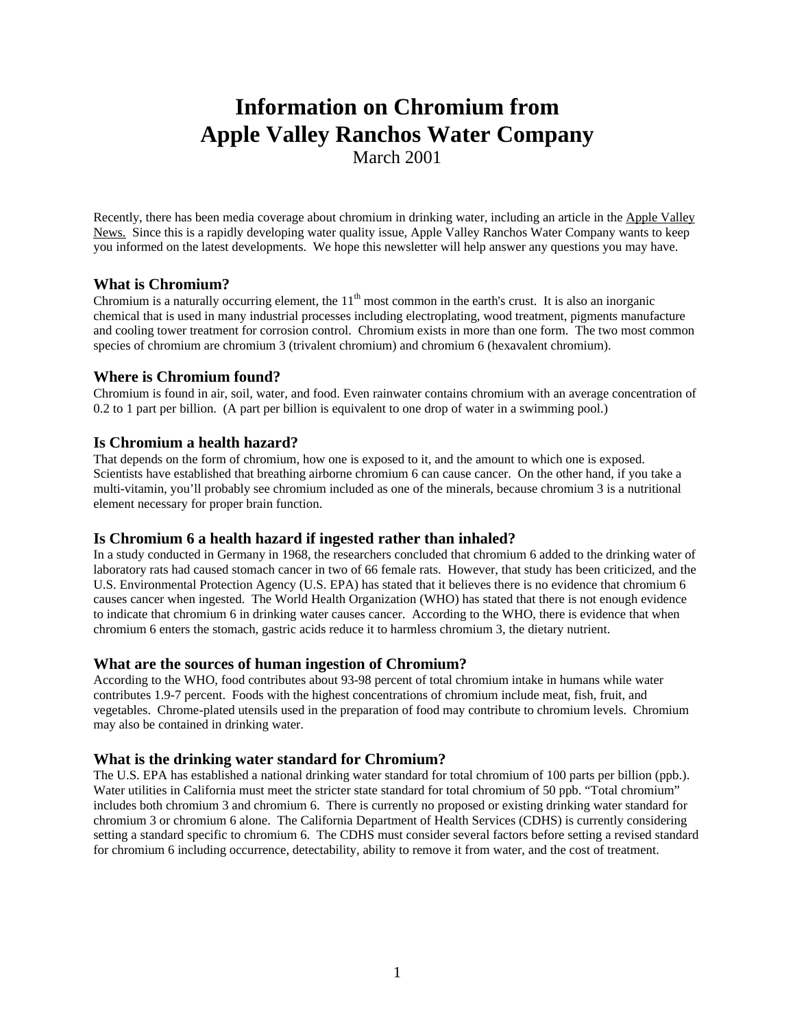# **Information on Chromium from Apple Valley Ranchos Water Company**

March 2001

Recently, there has been media coverage about chromium in drinking water, including an article in the Apple Valley News. Since this is a rapidly developing water quality issue, Apple Valley Ranchos Water Company wants to keep you informed on the latest developments. We hope this newsletter will help answer any questions you may have.

## **What is Chromium?**

Chromium is a naturally occurring element, the  $11<sup>th</sup>$  most common in the earth's crust. It is also an inorganic chemical that is used in many industrial processes including electroplating, wood treatment, pigments manufacture and cooling tower treatment for corrosion control. Chromium exists in more than one form. The two most common species of chromium are chromium 3 (trivalent chromium) and chromium 6 (hexavalent chromium).

## **Where is Chromium found?**

Chromium is found in air, soil, water, and food. Even rainwater contains chromium with an average concentration of 0.2 to 1 part per billion. (A part per billion is equivalent to one drop of water in a swimming pool.)

## **Is Chromium a health hazard?**

That depends on the form of chromium, how one is exposed to it, and the amount to which one is exposed. Scientists have established that breathing airborne chromium 6 can cause cancer. On the other hand, if you take a multi-vitamin, you'll probably see chromium included as one of the minerals, because chromium 3 is a nutritional element necessary for proper brain function.

## **Is Chromium 6 a health hazard if ingested rather than inhaled?**

In a study conducted in Germany in 1968, the researchers concluded that chromium 6 added to the drinking water of laboratory rats had caused stomach cancer in two of 66 female rats. However, that study has been criticized, and the U.S. Environmental Protection Agency (U.S. EPA) has stated that it believes there is no evidence that chromium 6 causes cancer when ingested. The World Health Organization (WHO) has stated that there is not enough evidence to indicate that chromium 6 in drinking water causes cancer. According to the WHO, there is evidence that when chromium 6 enters the stomach, gastric acids reduce it to harmless chromium 3, the dietary nutrient.

## **What are the sources of human ingestion of Chromium?**

According to the WHO, food contributes about 93-98 percent of total chromium intake in humans while water contributes 1.9-7 percent. Foods with the highest concentrations of chromium include meat, fish, fruit, and vegetables. Chrome-plated utensils used in the preparation of food may contribute to chromium levels. Chromium may also be contained in drinking water.

## **What is the drinking water standard for Chromium?**

The U.S. EPA has established a national drinking water standard for total chromium of 100 parts per billion (ppb.). Water utilities in California must meet the stricter state standard for total chromium of 50 ppb. "Total chromium" includes both chromium 3 and chromium 6. There is currently no proposed or existing drinking water standard for chromium 3 or chromium 6 alone. The California Department of Health Services (CDHS) is currently considering setting a standard specific to chromium 6. The CDHS must consider several factors before setting a revised standard for chromium 6 including occurrence, detectability, ability to remove it from water, and the cost of treatment.